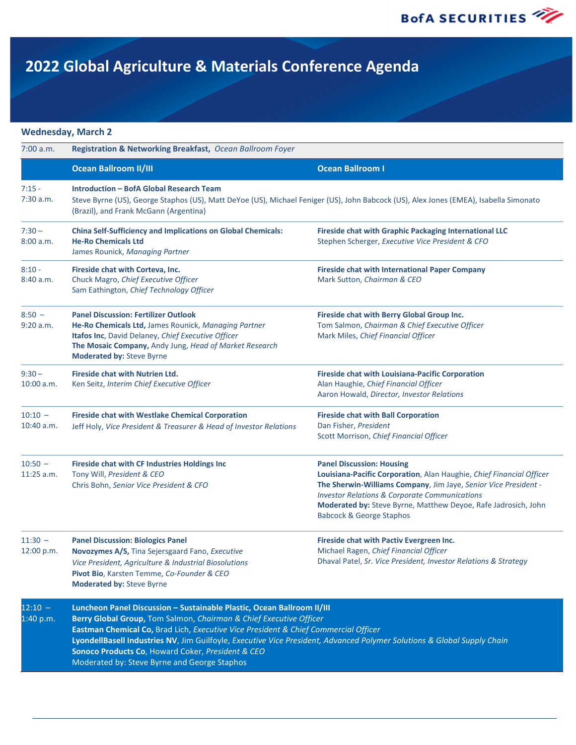

### **Wednesday, March 2**

| 7:00 a.m.                 | Registration & Networking Breakfast, Ocean Ballroom Foyer                                                                                                                                                                                                                                                                                                                                                                                                           |                                                                                                                                                                                                                                                                                                                                                  |
|---------------------------|---------------------------------------------------------------------------------------------------------------------------------------------------------------------------------------------------------------------------------------------------------------------------------------------------------------------------------------------------------------------------------------------------------------------------------------------------------------------|--------------------------------------------------------------------------------------------------------------------------------------------------------------------------------------------------------------------------------------------------------------------------------------------------------------------------------------------------|
|                           | <b>Ocean Ballroom II/III</b>                                                                                                                                                                                                                                                                                                                                                                                                                                        | <b>Ocean Ballroom I</b>                                                                                                                                                                                                                                                                                                                          |
| $7:15 -$<br>7:30 a.m.     | <b>Introduction - BofA Global Research Team</b><br>Steve Byrne (US), George Staphos (US), Matt DeYoe (US), Michael Feniger (US), John Babcock (US), Alex Jones (EMEA), Isabella Simonato<br>(Brazil), and Frank McGann (Argentina)                                                                                                                                                                                                                                  |                                                                                                                                                                                                                                                                                                                                                  |
| $7:30 -$<br>8:00 a.m.     | <b>China Self-Sufficiency and Implications on Global Chemicals:</b><br><b>He-Ro Chemicals Ltd</b><br>James Rounick, Managing Partner                                                                                                                                                                                                                                                                                                                                | <b>Fireside chat with Graphic Packaging International LLC</b><br>Stephen Scherger, Executive Vice President & CFO                                                                                                                                                                                                                                |
| $8:10 -$<br>8:40 a.m.     | Fireside chat with Corteva, Inc.<br>Chuck Magro, Chief Executive Officer<br>Sam Eathington, Chief Technology Officer                                                                                                                                                                                                                                                                                                                                                | <b>Fireside chat with International Paper Company</b><br>Mark Sutton, Chairman & CEO                                                                                                                                                                                                                                                             |
| $8:50 -$<br>9:20 a.m.     | <b>Panel Discussion: Fertilizer Outlook</b><br>He-Ro Chemicals Ltd, James Rounick, Managing Partner<br>Itafos Inc, David Delaney, Chief Executive Officer<br>The Mosaic Company, Andy Jung, Head of Market Research<br><b>Moderated by: Steve Byrne</b>                                                                                                                                                                                                             | Fireside chat with Berry Global Group Inc.<br>Tom Salmon, Chairman & Chief Executive Officer<br>Mark Miles, Chief Financial Officer                                                                                                                                                                                                              |
| $9:30 -$<br>$10:00$ a.m.  | <b>Fireside chat with Nutrien Ltd.</b><br>Ken Seitz, Interim Chief Executive Officer                                                                                                                                                                                                                                                                                                                                                                                | <b>Fireside chat with Louisiana-Pacific Corporation</b><br>Alan Haughie, Chief Financial Officer<br>Aaron Howald, Director, Investor Relations                                                                                                                                                                                                   |
| $10:10 -$<br>$10:40$ a.m. | <b>Fireside chat with Westlake Chemical Corporation</b><br>Jeff Holy, Vice President & Treasurer & Head of Investor Relations                                                                                                                                                                                                                                                                                                                                       | <b>Fireside chat with Ball Corporation</b><br>Dan Fisher, President<br>Scott Morrison, Chief Financial Officer                                                                                                                                                                                                                                   |
| $10:50 -$<br>$11:25$ a.m. | <b>Fireside chat with CF Industries Holdings Inc</b><br>Tony Will, President & CEO<br>Chris Bohn, Senior Vice President & CFO                                                                                                                                                                                                                                                                                                                                       | <b>Panel Discussion: Housing</b><br>Louisiana-Pacific Corporation, Alan Haughie, Chief Financial Officer<br>The Sherwin-Williams Company, Jim Jaye, Senior Vice President -<br><b>Investor Relations &amp; Corporate Communications</b><br>Moderated by: Steve Byrne, Matthew Deyoe, Rafe Jadrosich, John<br><b>Babcock &amp; George Staphos</b> |
| $11:30 -$<br>12:00 p.m.   | <b>Panel Discussion: Biologics Panel</b><br>Novozymes A/S, Tina Sejersgaard Fano, Executive<br>Vice President, Agriculture & Industrial Biosolutions<br>Pivot Bio, Karsten Temme, Co-Founder & CEO<br><b>Moderated by: Steve Byrne</b>                                                                                                                                                                                                                              | Fireside chat with Pactiv Evergreen Inc.<br>Michael Ragen, Chief Financial Officer<br>Dhaval Patel, Sr. Vice President, Investor Relations & Strategy                                                                                                                                                                                            |
| $12:10 -$<br>1:40 p.m.    | Luncheon Panel Discussion - Sustainable Plastic, Ocean Ballroom II/III<br>Berry Global Group, Tom Salmon, Chairman & Chief Executive Officer<br>Eastman Chemical Co, Brad Lich, Executive Vice President & Chief Commercial Officer<br>LyondellBasell Industries NV, Jim Guilfoyle, Executive Vice President, Advanced Polymer Solutions & Global Supply Chain<br>Sonoco Products Co, Howard Coker, President & CEO<br>Moderated by: Steve Byrne and George Staphos |                                                                                                                                                                                                                                                                                                                                                  |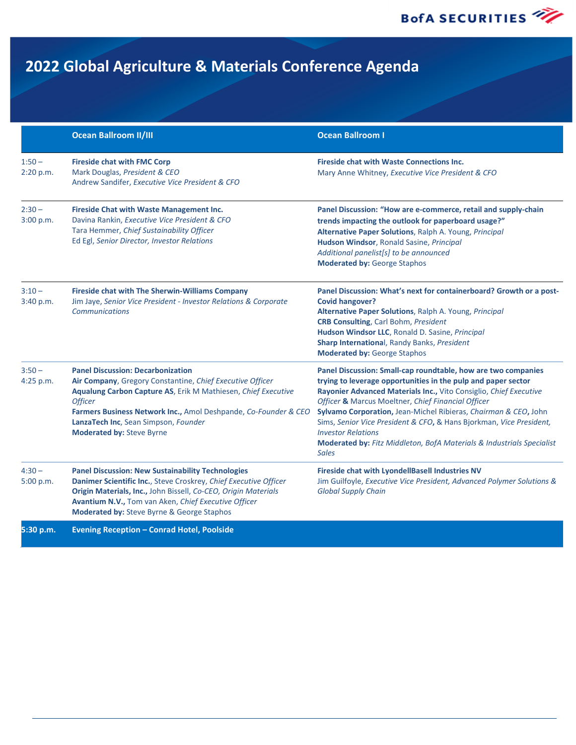**BofA SECURITIES** 

# **2022 Global Agriculture & Materials Conference Agenda**

|                       | <b>Ocean Ballroom II/III</b>                                                                                                                                                                                                                                                                                                            | <b>Ocean Ballroom I</b>                                                                                                                                                                                                                                                                                                                                                                                                                                                                                                          |
|-----------------------|-----------------------------------------------------------------------------------------------------------------------------------------------------------------------------------------------------------------------------------------------------------------------------------------------------------------------------------------|----------------------------------------------------------------------------------------------------------------------------------------------------------------------------------------------------------------------------------------------------------------------------------------------------------------------------------------------------------------------------------------------------------------------------------------------------------------------------------------------------------------------------------|
| $1:50 -$<br>2:20 p.m. | <b>Fireside chat with FMC Corp</b><br>Mark Douglas, President & CEO<br>Andrew Sandifer, Executive Vice President & CFO                                                                                                                                                                                                                  | <b>Fireside chat with Waste Connections Inc.</b><br>Mary Anne Whitney, Executive Vice President & CFO                                                                                                                                                                                                                                                                                                                                                                                                                            |
| $2:30 -$<br>3:00 p.m. | <b>Fireside Chat with Waste Management Inc.</b><br>Davina Rankin, Executive Vice President & CFO<br>Tara Hemmer, Chief Sustainability Officer<br>Ed Egl, Senior Director, Investor Relations                                                                                                                                            | Panel Discussion: "How are e-commerce, retail and supply-chain<br>trends impacting the outlook for paperboard usage?"<br>Alternative Paper Solutions, Ralph A. Young, Principal<br>Hudson Windsor, Ronald Sasine, Principal<br>Additional panelist[s] to be announced<br><b>Moderated by: George Staphos</b>                                                                                                                                                                                                                     |
| $3:10 -$<br>3:40 p.m. | <b>Fireside chat with The Sherwin-Williams Company</b><br>Jim Jaye, Senior Vice President - Investor Relations & Corporate<br><b>Communications</b>                                                                                                                                                                                     | Panel Discussion: What's next for containerboard? Growth or a post-<br><b>Covid hangover?</b><br>Alternative Paper Solutions, Ralph A. Young, Principal<br><b>CRB Consulting, Carl Bohm, President</b><br>Hudson Windsor LLC, Ronald D. Sasine, Principal<br>Sharp International, Randy Banks, President<br><b>Moderated by: George Staphos</b>                                                                                                                                                                                  |
| $3:50 -$<br>4:25 p.m. | <b>Panel Discussion: Decarbonization</b><br>Air Company, Gregory Constantine, Chief Executive Officer<br>Aqualung Carbon Capture AS, Erik M Mathiesen, Chief Executive<br><b>Officer</b><br>Farmers Business Network Inc., Amol Deshpande, Co-Founder & CEO<br>LanzaTech Inc, Sean Simpson, Founder<br><b>Moderated by: Steve Byrne</b> | Panel Discussion: Small-cap roundtable, how are two companies<br>trying to leverage opportunities in the pulp and paper sector<br>Rayonier Advanced Materials Inc., Vito Consiglio, Chief Executive<br>Officer & Marcus Moeltner, Chief Financial Officer<br>Sylvamo Corporation, Jean-Michel Ribieras, Chairman & CEO, John<br>Sims, Senior Vice President & CFO, & Hans Bjorkman, Vice President,<br><b>Investor Relations</b><br><b>Moderated by:</b> Fitz Middleton, BofA Materials & Industrials Specialist<br><b>Sales</b> |
| $4:30-$<br>5:00 p.m.  | <b>Panel Discussion: New Sustainability Technologies</b><br>Danimer Scientific Inc., Steve Croskrey, Chief Executive Officer<br>Origin Materials, Inc., John Bissell, Co-CEO, Origin Materials<br>Avantium N.V., Tom van Aken, Chief Executive Officer<br>Moderated by: Steve Byrne & George Staphos                                    | Fireside chat with LyondellBasell Industries NV<br>Jim Guilfoyle, Executive Vice President, Advanced Polymer Solutions &<br><b>Global Supply Chain</b>                                                                                                                                                                                                                                                                                                                                                                           |

**5:30 p.m. Evening Reception – Conrad Hotel, Poolside**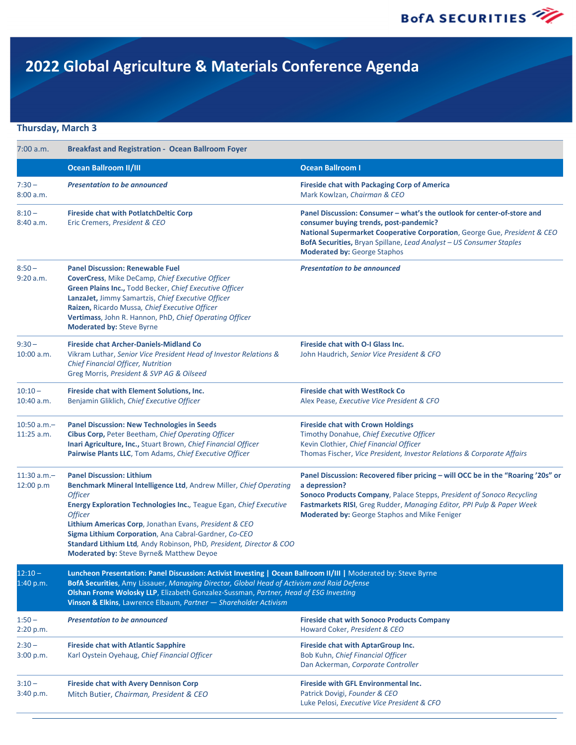### **Thursday, March 3**

| 7:00 a.m.                      | <b>Breakfast and Registration - Ocean Ballroom Foyer</b>                                                                                                                                                                                                                                                                                                                                                                                                       |                                                                                                                                                                                                                                                                                                              |  |
|--------------------------------|----------------------------------------------------------------------------------------------------------------------------------------------------------------------------------------------------------------------------------------------------------------------------------------------------------------------------------------------------------------------------------------------------------------------------------------------------------------|--------------------------------------------------------------------------------------------------------------------------------------------------------------------------------------------------------------------------------------------------------------------------------------------------------------|--|
|                                | <b>Ocean Ballroom II/III</b>                                                                                                                                                                                                                                                                                                                                                                                                                                   | <b>Ocean Ballroom I</b>                                                                                                                                                                                                                                                                                      |  |
| $7:30 -$<br>8:00 a.m.          | <b>Presentation to be announced</b>                                                                                                                                                                                                                                                                                                                                                                                                                            | <b>Fireside chat with Packaging Corp of America</b><br>Mark Kowlzan, Chairman & CEO                                                                                                                                                                                                                          |  |
| $8:10 -$<br>8:40 a.m.          | <b>Fireside chat with PotlatchDeltic Corp</b><br>Eric Cremers, President & CEO                                                                                                                                                                                                                                                                                                                                                                                 | Panel Discussion: Consumer - what's the outlook for center-of-store and<br>consumer buying trends, post-pandemic?<br>National Supermarket Cooperative Corporation, George Gue, President & CEO<br>BofA Securities, Bryan Spillane, Lead Analyst - US Consumer Staples<br><b>Moderated by: George Staphos</b> |  |
| $8:50 -$<br>9:20 a.m.          | <b>Panel Discussion: Renewable Fuel</b><br>CoverCress, Mike DeCamp, Chief Executive Officer<br>Green Plains Inc., Todd Becker, Chief Executive Officer<br>LanzaJet, Jimmy Samartzis, Chief Executive Officer<br>Raizen, Ricardo Mussa, Chief Executive Officer<br>Vertimass, John R. Hannon, PhD, Chief Operating Officer<br>Moderated by: Steve Byrne                                                                                                         | <b>Presentation to be announced</b>                                                                                                                                                                                                                                                                          |  |
| $9:30 -$<br>$10:00$ a.m.       | <b>Fireside chat Archer-Daniels-Midland Co</b><br>Vikram Luthar, Senior Vice President Head of Investor Relations &<br>Chief Financial Officer, Nutrition<br>Greg Morris, President & SVP AG & Oilseed                                                                                                                                                                                                                                                         | Fireside chat with O-I Glass Inc.<br>John Haudrich, Senior Vice President & CFO                                                                                                                                                                                                                              |  |
| $10:10 -$<br>10:40 a.m.        | Fireside chat with Element Solutions, Inc.<br>Benjamin Gliklich, Chief Executive Officer                                                                                                                                                                                                                                                                                                                                                                       | <b>Fireside chat with WestRock Co</b><br>Alex Pease, Executive Vice President & CFO                                                                                                                                                                                                                          |  |
| $10:50$ a.m. $-$<br>11:25 a.m. | <b>Panel Discussion: New Technologies in Seeds</b><br>Cibus Corp, Peter Beetham, Chief Operating Officer<br>Inari Agriculture, Inc., Stuart Brown, Chief Financial Officer<br>Pairwise Plants LLC, Tom Adams, Chief Executive Officer                                                                                                                                                                                                                          | <b>Fireside chat with Crown Holdings</b><br>Timothy Donahue, Chief Executive Officer<br>Kevin Clothier, Chief Financial Officer<br>Thomas Fischer, Vice President, Investor Relations & Corporate Affairs                                                                                                    |  |
| $11:30$ a.m.-<br>12:00 p.m     | <b>Panel Discussion: Lithium</b><br>Benchmark Mineral Intelligence Ltd, Andrew Miller, Chief Operating<br><b>Officer</b><br><b>Energy Exploration Technologies Inc.</b> , Teague Egan, Chief Executive<br><b>Officer</b><br>Lithium Americas Corp, Jonathan Evans, President & CEO<br>Sigma Lithium Corporation, Ana Cabral-Gardner, Co-CEO<br>Standard Lithium Ltd, Andy Robinson, PhD, President, Director & COO<br>Moderated by: Steve Byrne& Matthew Deyoe | Panel Discussion: Recovered fiber pricing - will OCC be in the "Roaring '20s" or<br>a depression?<br>Sonoco Products Company, Palace Stepps, President of Sonoco Recycling<br>Fastmarkets RISI, Greg Rudder, Managing Editor, PPI Pulp & Paper Week<br>Moderated by: George Staphos and Mike Feniger         |  |
| $12:10 -$<br>1:40 p.m.         | Luncheon Presentation: Panel Discussion: Activist Investing   Ocean Ballroom II/III   Moderated by: Steve Byrne<br>BofA Securities, Amy Lissauer, Managing Director, Global Head of Activism and Raid Defense<br>Olshan Frome Wolosky LLP, Elizabeth Gonzalez-Sussman, Partner, Head of ESG Investing<br>Vinson & Elkins, Lawrence Elbaum, Partner - Shareholder Activism                                                                                      |                                                                                                                                                                                                                                                                                                              |  |
| $1:50 -$<br>2:20 p.m.          | <b>Presentation to be announced</b>                                                                                                                                                                                                                                                                                                                                                                                                                            | <b>Fireside chat with Sonoco Products Company</b><br>Howard Coker, President & CEO                                                                                                                                                                                                                           |  |
| $2:30 -$<br>3:00 p.m.          | <b>Fireside chat with Atlantic Sapphire</b><br>Karl Oystein Oyehaug, Chief Financial Officer                                                                                                                                                                                                                                                                                                                                                                   | Fireside chat with AptarGroup Inc.<br>Bob Kuhn, Chief Financial Officer<br>Dan Ackerman, Corporate Controller                                                                                                                                                                                                |  |
| $3:10 -$<br>3:40 p.m.          | <b>Fireside chat with Avery Dennison Corp</b><br>Mitch Butier, Chairman, President & CEO                                                                                                                                                                                                                                                                                                                                                                       | <b>Fireside with GFL Environmental Inc.</b><br>Patrick Dovigi, Founder & CEO<br>Luke Pelosi, Executive Vice President & CFO                                                                                                                                                                                  |  |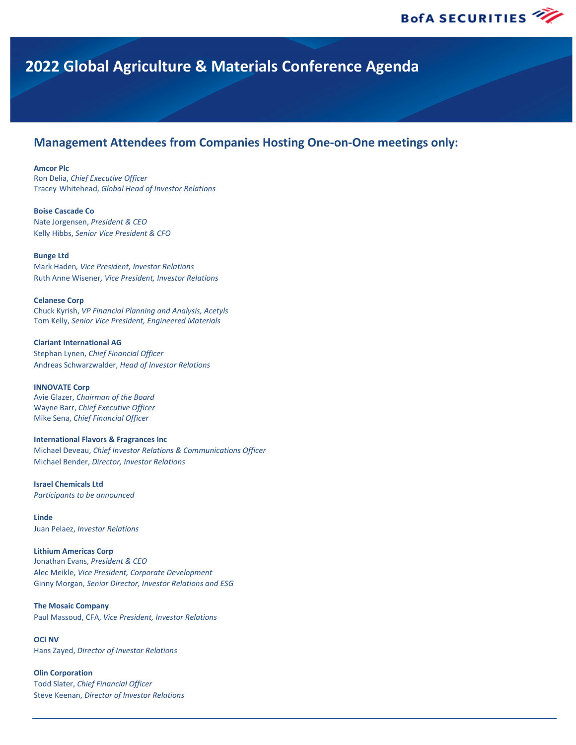## **Management Attendees from Companies Hosting One-on-One meetings only:**

#### **Amcor Plc**

Ron Delia, *Chief Executive Officer* Tracey Whitehead, *Global Head of Investor Relations*

#### **Boise Cascade Co**

Nate Jorgensen, *President & CEO* Kelly Hibbs, *Senior Vice President & CFO*

#### **Bunge Ltd**

Mark Haden*, Vice President, Investor Relations* Ruth Anne Wisener*, Vice President, Investor Relations*

#### **Celanese Corp**

Chuck Kyrish, *VP Financial Planning and Analysis, Acetyls* Tom Kelly, *Senior Vice President, Engineered Materials*

**Clariant International AG** Stephan Lynen, *Chief Financial Officer* Andreas Schwarzwalder, *Head of Investor Relations* 

**INNOVATE Corp** Avie Glazer, *Chairman of the Board* Wayne Barr, *Chief Executive Officer* Mike Sena, *Chief Financial Officer*

#### **International Flavors & Fragrances Inc**

Michael Deveau, *Chief Investor Relations & Communications Officer*  Michael Bender, *Director, Investor Relations* 

**Israel Chemicals Ltd** *Participants to be announced*

**Linde** Juan Pelaez, *Investor Relations*

#### **Lithium Americas Corp**

Jonathan Evans, *President & CEO*  Alec Meikle, *Vice President, Corporate Development*  Ginny Morgan, *Senior Director, Investor Relations and ESG* 

#### **The Mosaic Company**

Paul Massoud, CFA, *Vice President, Investor Relations*

#### **OCI NV**

Hans Zayed, *Director of Investor Relations*

#### **Olin Corporation**

Todd Slater, *Chief Financial Officer* Steve Keenan, *Director of Investor Relations*